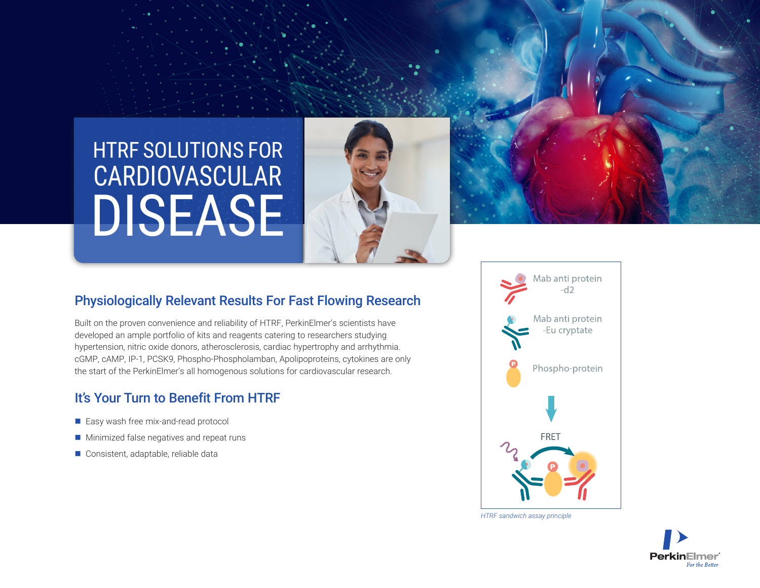# HTRF SOLUTIONS FOR DISEASE CARDIOVASCULAR





## Physiologically Relevant Results For Fast Flowing Research

Built on the proven convenience and reliability of HTRF, PerkinElmer's scientists have developed an ample portfolio of kits and reagents catering to researchers studying hypertension, nitric oxide donors, atherosclerosis, cardiac hypertrophy and arrhythmia. cGMP, cAMP, IP-1, PCSK9, Phospho-Phospholamban, Apolipoproteins, cytokines are only the start of the PerkinElmer's all homogenous solutions for cardiovascular research.

# It's Your Turn to Benefit From HTRF

- Easy wash free mix-and-read protocol
- $\blacksquare$  Minimized false negatives and repeat runs
- Consistent, adaptable, reliable data



*HTRF sandwich assay principle*